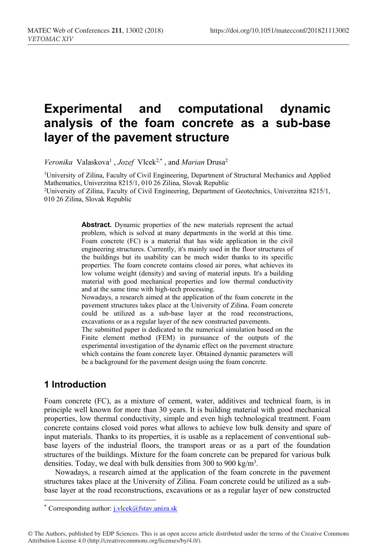# **Experimental and computational dynamic analysis of the foam concrete as a sub-base layer of the pavement structure**

*Veronika* Valaskova<sup>1</sup>, *Jozef* Vlcek<sup>2,\*</sup>, and *Marian* Drusa<sup>2</sup>

1University of Zilina, Faculty of Civil Engineering, Department of Structural Mechanics and Applied Mathematics, Univerzitna 8215/1, 010 26 Zilina, Slovak Republic

2University of Zilina, Faculty of Civil Engineering, Department of Geotechnics, Univerzitna 8215/1, 010 26 Zilina, Slovak Republic

> **Abstract.** Dynamic properties of the new materials represent the actual problem, which is solved at many departments in the world at this time. Foam concrete (FC) is a material that has wide application in the civil engineering structures. Currently, it's mainly used in the floor structures of the buildings but its usability can be much wider thanks to its specific properties. The foam concrete contains closed air pores, what achieves its low volume weight (density) and saving of material inputs. It's a building material with good mechanical properties and low thermal conductivity and at the same time with high-tech processing.

> Nowadays, a research aimed at the application of the foam concrete in the pavement structures takes place at the University of Zilina. Foam concrete could be utilized as a sub-base layer at the road reconstructions, excavations or as a regular layer of the new constructed pavements.

> The submitted paper is dedicated to the numerical simulation based on the Finite element method (FEM) in pursuance of the outputs of the experimental investigation of the dynamic effect on the pavement structure which contains the foam concrete layer. Obtained dynamic parameters will be a background for the pavement design using the foam concrete.

# **1 Introduction**

 $\overline{a}$ 

Foam concrete (FC), as a mixture of cement, water, additives and technical foam, is in principle well known for more than 30 years. It is building material with good mechanical properties, low thermal conductivity, simple and even high technological treatment. Foam concrete contains closed void pores what allows to achieve low bulk density and spare of input materials. Thanks to its properties, it is usable as a replacement of conventional subbase layers of the industrial floors, the transport areas or as a part of the foundation structures of the buildings. Mixture for the foam concrete can be prepared for various bulk densities. Today, we deal with bulk densities from 300 to 900 kg/m<sup>3</sup>.

Nowadays, a research aimed at the application of the foam concrete in the pavement structures takes place at the University of Zilina. Foam concrete could be utilized as a subbase layer at the road reconstructions, excavations or as a regular layer of new constructed

<sup>\*</sup> Corresponding author: j.vlcek@fstav.uniza.sk

<sup>©</sup> The Authors, published by EDP Sciences. This is an open access article distributed under the terms of the Creative Commons Attribution License 4.0 (http://creativecommons.org/licenses/by/4.0/).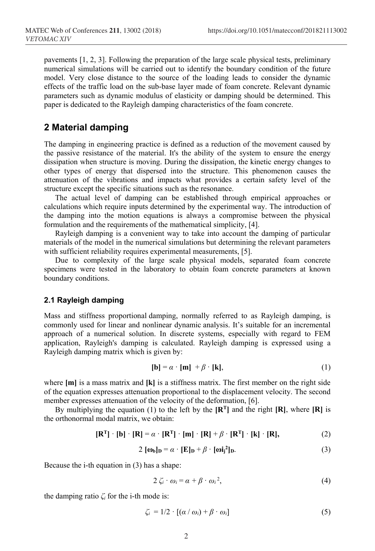pavements [1, 2, 3]. Following the preparation of the large scale physical tests, preliminary numerical simulations will be carried out to identify the boundary condition of the future model. Very close distance to the source of the loading leads to consider the dynamic effects of the traffic load on the sub-base layer made of foam concrete. Relevant dynamic parameters such as dynamic modulus of elasticity or damping should be determined. This paper is dedicated to the Rayleigh damping characteristics of the foam concrete.

### **2 Material damping**

The damping in engineering practice is defined as a reduction of the movement caused by the passive resistance of the material. It's the ability of the system to ensure the energy dissipation when structure is moving. During the dissipation, the kinetic energy changes to other types of energy that dispersed into the structure. This phenomenon causes the attenuation of the vibrations and impacts what provides a certain safety level of the structure except the specific situations such as the resonance.

The actual level of damping can be established through empirical approaches or calculations which require inputs determined by the experimental way. The introduction of the damping into the motion equations is always a compromise between the physical formulation and the requirements of the mathematical simplicity, [4].

Rayleigh damping is a convenient way to take into account the damping of particular materials of the model in the numerical simulations but determining the relevant parameters with sufficient reliability requires experimental measurements, [5].

Due to complexity of the large scale physical models, separated foam concrete specimens were tested in the laboratory to obtain foam concrete parameters at known boundary conditions.

### **2.1 Rayleigh damping**

Mass and stiffness proportional damping, normally referred to as Rayleigh damping, is commonly used for linear and nonlinear dynamic analysis. It's suitable for an incremental approach of a numerical solution. In discrete systems, especially with regard to FEM application, Rayleigh's damping is calculated. Rayleigh damping is expressed using a Rayleigh damping matrix which is given by:

$$
[\mathbf{b}] = \alpha \cdot [\mathbf{m}] + \beta \cdot [\mathbf{k}], \tag{1}
$$

where **[m]** is a mass matrix and **[k]** is a stiffness matrix. The first member on the right side of the equation expresses attenuation proportional to the displacement velocity. The second member expresses attenuation of the velocity of the deformation, [6].

By multiplying the equation (1) to the left by the  $[\mathbf{R}^T]$  and the right  $[\mathbf{R}]$ , where  $[\mathbf{R}]$  is the orthonormal modal matrix, we obtain:

$$
[\mathbf{R}^{\mathrm{T}}] \cdot [\mathbf{b}] \cdot [\mathbf{R}] = \alpha \cdot [\mathbf{R}^{\mathrm{T}}] \cdot [\mathbf{m}] \cdot [\mathbf{R}] + \beta \cdot [\mathbf{R}^{\mathrm{T}}] \cdot [\mathbf{k}] \cdot [\mathbf{R}], \tag{2}
$$

$$
2 [\omega_{\mathbf{b}}]_{\mathbf{D}} = \alpha \cdot [\mathbf{E}]_{\mathbf{D}} + \beta \cdot [\omega \mathbf{i} \mathbf{j}^2]_{\mathbf{D}}.
$$
 (3)

Because the i-th equation in (3) has a shape:

$$
2\zeta_i \cdot \omega_i = \alpha + \beta \cdot \omega_i^2, \tag{4}
$$

the damping ratio  $\zeta_i$  for the i-th mode is:

$$
\zeta_i = 1/2 \cdot [(\alpha / \omega_i) + \beta \cdot \omega_i]
$$
\n(5)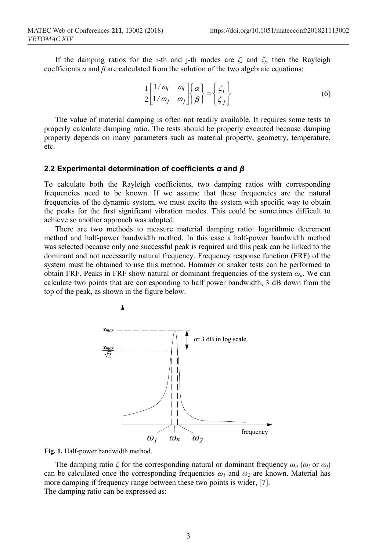If the damping ratios for the i-th and j-th modes are  $\zeta$ *i* and  $\zeta$ *j*, then the Rayleigh coefficients  $\alpha$  and  $\beta$  are calculated from the solution of the two algebraic equations:

$$
\frac{1}{2} \begin{bmatrix} 1/\omega_i & \omega_i \\ 1/\omega_j & \omega_j \end{bmatrix} \begin{bmatrix} \alpha \\ \beta \end{bmatrix} = \begin{Bmatrix} \zeta_i \\ \zeta_j \end{Bmatrix}
$$
 (6)

The value of material damping is often not readily available. It requires some tests to properly calculate damping ratio. The tests should be properly executed because damping property depends on many parameters such as material property, geometry, temperature, etc.

#### **2.2 Experimental determination of coefficients** *α* **and** *β*

To calculate both the Rayleigh coefficients, two damping ratios with corresponding frequencies need to be known. If we assume that these frequencies are the natural frequencies of the dynamic system, we must excite the system with specific way to obtain the peaks for the first significant vibration modes. This could be sometimes difficult to achieve so another approach was adopted.

There are two methods to measure material damping ratio: logarithmic decrement method and half-power bandwidth method. In this case a half-power bandwidth method was selected because only one successful peak is required and this peak can be linked to the dominant and not necessarily natural frequency. Frequency response function (FRF) of the system must be obtained to use this method. Hammer or shaker tests can be performed to obtain FRF. Peaks in FRF show natural or dominant frequencies of the system  $\omega_n$ . We can calculate two points that are corresponding to half power bandwidth, 3 dB down from the top of the peak, as shown in the figure below.





The damping ratio  $\zeta$  for the corresponding natural or dominant frequency  $\omega_n$  ( $\omega_i$  or  $\omega_j$ ) can be calculated once the corresponding frequencies  $\omega_l$  and  $\omega_2$  are known. Material has more damping if frequency range between these two points is wider, [7]. The damping ratio can be expressed as: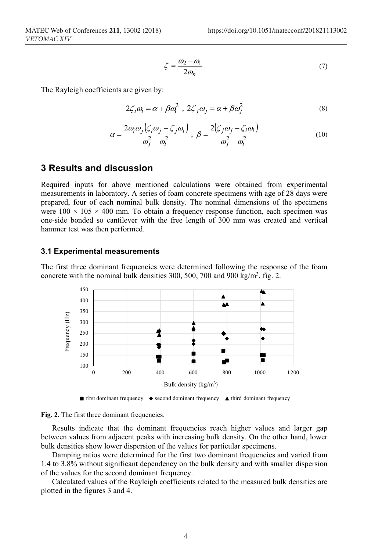$$
\zeta = \frac{\omega_2 - \omega_1}{2\omega_n} \,. \tag{7}
$$

The Rayleigh coefficients are given by:

$$
2\zeta_i \omega_i = \alpha + \beta \omega_i^2, \ 2\zeta_j \omega_j = \alpha + \beta \omega_j^2 \tag{8}
$$

$$
\alpha = \frac{2\omega_i \omega_j \left(\zeta_i \omega_j - \zeta_j \omega_i\right)}{\omega_j^2 - \omega_i^2}, \ \beta = \frac{2\left(\zeta_j \omega_j - \zeta_i \omega_i\right)}{\omega_j^2 - \omega_i^2}
$$
(10)

## **3 Results and discussion**

Required inputs for above mentioned calculations were obtained from experimental measurements in laboratory. A series of foam concrete specimens with age of 28 days were prepared, four of each nominal bulk density. The nominal dimensions of the specimens were  $100 \times 105 \times 400$  mm. To obtain a frequency response function, each specimen was one-side bonded so cantilever with the free length of 300 mm was created and vertical hammer test was then performed.

#### **3.1 Experimental measurements**

The first three dominant frequencies were determined following the response of the foam concrete with the nominal bulk densities 300, 500, 700 and 900 kg/m<sup>3</sup>, fig. 2.





Results indicate that the dominant frequencies reach higher values and larger gap between values from adjacent peaks with increasing bulk density. On the other hand, lower bulk densities show lower dispersion of the values for particular specimens.

Damping ratios were determined for the first two dominant frequencies and varied from 1.4 to 3.8% without significant dependency on the bulk density and with smaller dispersion of the values for the second dominant frequency.

Calculated values of the Rayleigh coefficients related to the measured bulk densities are plotted in the figures 3 and 4.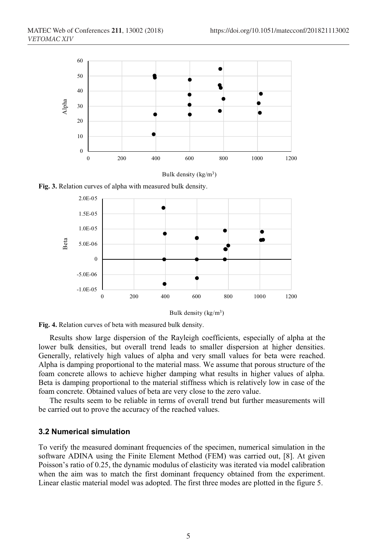

Bulk density  $(kg/m<sup>3</sup>)$ 

**Fig. 3.** Relation curves of alpha with measured bulk density.





Results show large dispersion of the Rayleigh coefficients, especially of alpha at the lower bulk densities, but overall trend leads to smaller dispersion at higher densities. Generally, relatively high values of alpha and very small values for beta were reached. Alpha is damping proportional to the material mass. We assume that porous structure of the foam concrete allows to achieve higher damping what results in higher values of alpha. Beta is damping proportional to the material stiffness which is relatively low in case of the foam concrete. Obtained values of beta are very close to the zero value.

The results seem to be reliable in terms of overall trend but further measurements will be carried out to prove the accuracy of the reached values.

### **3.2 Numerical simulation**

To verify the measured dominant frequencies of the specimen, numerical simulation in the software ADINA using the Finite Element Method (FEM) was carried out, [8]. At given Poisson's ratio of 0.25, the dynamic modulus of elasticity was iterated via model calibration when the aim was to match the first dominant frequency obtained from the experiment. Linear elastic material model was adopted. The first three modes are plotted in the figure 5.